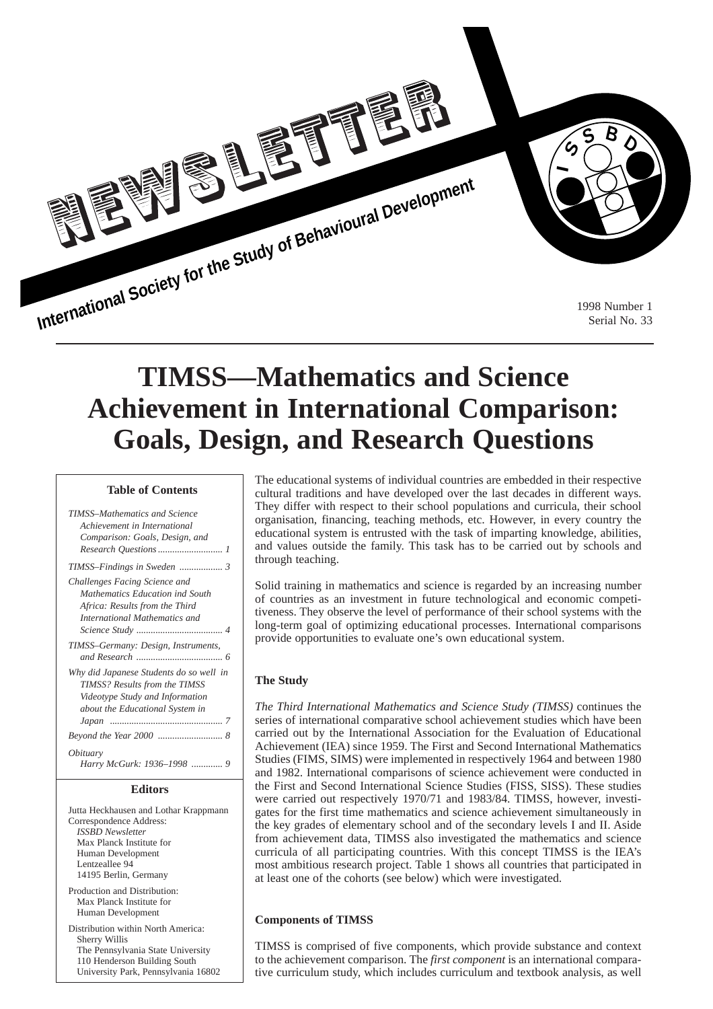

# **TIMSS—Mathematics and Science Achievement in International Comparison: Goals, Design, and Research Questions**

#### **Table of Contents**

| <b>TIMSS-Mathematics and Science</b><br>Achievement in International<br>Comparison: Goals, Design, and                                         |
|------------------------------------------------------------------------------------------------------------------------------------------------|
|                                                                                                                                                |
| Challenges Facing Science and<br>Mathematics Education ind South<br>Africa: Results from the Third<br>International Mathematics and            |
| TIMSS-Germany: Design, Instruments,                                                                                                            |
| Why did Japanese Students do so well in<br>TIMSS? Results from the TIMSS<br>Videotype Study and Information<br>about the Educational System in |
|                                                                                                                                                |
| <i>Obituary</i><br>Harry McGurk: 1936-1998  9                                                                                                  |

#### **Editors**

Jutta Heckhausen and Lothar Krappmann Correspondence Address: *ISSBD Newsletter* Max Planck Institute for Human Development Lentzeallee 94 14195 Berlin, Germany Production and Distribution: Max Planck Institute for Human Development Distribution within North America: Sherry Willis The Pennsylvania State University 110 Henderson Building South

University Park, Pennsylvania 16802

The educational systems of individual countries are embedded in their respective cultural traditions and have developed over the last decades in different ways. They differ with respect to their school populations and curricula, their school organisation, financing, teaching methods, etc. However, in every country the educational system is entrusted with the task of imparting knowledge, abilities, and values outside the family. This task has to be carried out by schools and through teaching.

Solid training in mathematics and science is regarded by an increasing number of countries as an investment in future technological and economic competitiveness. They observe the level of performance of their school systems with the long-term goal of optimizing educational processes. International comparisons provide opportunities to evaluate one's own educational system.

#### **The Study**

*The Third International Mathematics and Science Study (TIMSS)* continues the series of international comparative school achievement studies which have been carried out by the International Association for the Evaluation of Educational Achievement (IEA) since 1959. The First and Second International Mathematics Studies (FIMS, SIMS) were implemented in respectively 1964 and between 1980 and 1982. International comparisons of science achievement were conducted in the First and Second International Science Studies (FISS, SISS). These studies were carried out respectively 1970/71 and 1983/84. TIMSS, however, investigates for the first time mathematics and science achievement simultaneously in the key grades of elementary school and of the secondary levels I and II. Aside from achievement data, TIMSS also investigated the mathematics and science curricula of all participating countries. With this concept TIMSS is the IEA's most ambitious research project. Table 1 shows all countries that participated in at least one of the cohorts (see below) which were investigated.

#### **Components of TIMSS**

TIMSS is comprised of five components, which provide substance and context to the achievement comparison. The *first component* is an international comparative curriculum study, which includes curriculum and textbook analysis, as well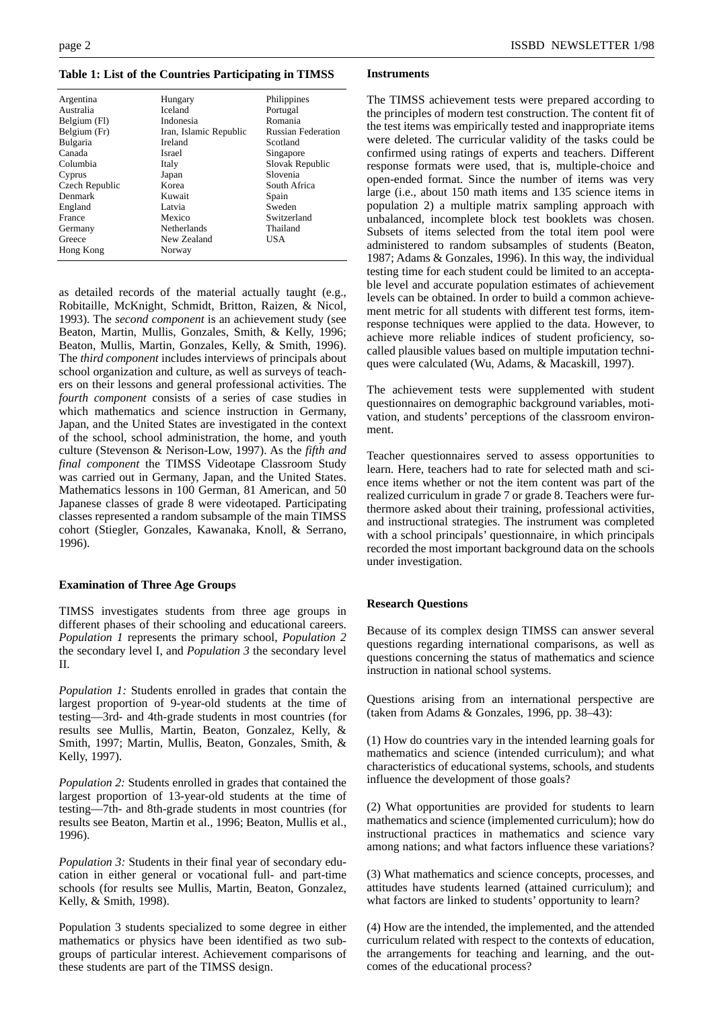| Argentina      | Hungary                | Philippines               |
|----------------|------------------------|---------------------------|
| Australia      | Iceland                | Portugal                  |
| Belgium (Fl)   | Indonesia              | Romania                   |
| Belgium (Fr)   | Iran, Islamic Republic | <b>Russian Federation</b> |
| Bulgaria       | Ireland                | Scotland                  |
| Canada         | Israel                 | Singapore                 |
| Columbia       | Italy                  | Slovak Republic           |
| Cyprus         | Japan                  | Slovenia                  |
| Czech Republic | Korea                  | South Africa              |
| Denmark        | Kuwait                 | Spain                     |
| England        | Latvia                 | Sweden                    |
| France         | Mexico                 | Switzerland               |
| Germany        | <b>Netherlands</b>     | Thailand                  |
| Greece         | New Zealand            | USA                       |
| Hong Kong      | Norway                 |                           |

**Table 1: List of the Countries Participating in TIMSS**

as detailed records of the material actually taught (e.g., Robitaille, McKnight, Schmidt, Britton, Raizen, & Nicol, 1993). The *second component* is an achievement study (see Beaton, Martin, Mullis, Gonzales, Smith, & Kelly, 1996; Beaton, Mullis, Martin, Gonzales, Kelly, & Smith, 1996). The *third component* includes interviews of principals about school organization and culture, as well as surveys of teachers on their lessons and general professional activities. The *fourth component* consists of a series of case studies in which mathematics and science instruction in Germany, Japan, and the United States are investigated in the context of the school, school administration, the home, and youth culture (Stevenson & Nerison-Low, 1997). As the *fifth and final component* the TIMSS Videotape Classroom Study was carried out in Germany, Japan, and the United States. Mathematics lessons in 100 German, 81 American, and 50 Japanese classes of grade 8 were videotaped. Participating classes represented a random subsample of the main TIMSS cohort (Stiegler, Gonzales, Kawanaka, Knoll, & Serrano, 1996).

#### **Examination of Three Age Groups**

TIMSS investigates students from three age groups in different phases of their schooling and educational careers. *Population 1* represents the primary school, *Population 2* the secondary level I, and *Population 3* the secondary level II.

*Population 1:* Students enrolled in grades that contain the largest proportion of 9-year-old students at the time of testing—3rd- and 4th-grade students in most countries (for results see Mullis, Martin, Beaton, Gonzalez, Kelly, & Smith, 1997; Martin, Mullis, Beaton, Gonzales, Smith, & Kelly, 1997).

*Population 2:* Students enrolled in grades that contained the largest proportion of 13-year-old students at the time of testing—7th- and 8th-grade students in most countries (for results see Beaton, Martin et al., 1996; Beaton, Mullis et al., 1996).

*Population 3:* Students in their final year of secondary education in either general or vocational full- and part-time schools (for results see Mullis, Martin, Beaton, Gonzalez, Kelly, & Smith, 1998).

Population 3 students specialized to some degree in either mathematics or physics have been identified as two subgroups of particular interest. Achievement comparisons of these students are part of the TIMSS design.

#### **Instruments**

The TIMSS achievement tests were prepared according to the principles of modern test construction. The content fit of the test items was empirically tested and inappropriate items were deleted. The curricular validity of the tasks could be confirmed using ratings of experts and teachers. Different response formats were used, that is, multiple-choice and open-ended format. Since the number of items was very large (i.e., about 150 math items and 135 science items in population 2) a multiple matrix sampling approach with unbalanced, incomplete block test booklets was chosen. Subsets of items selected from the total item pool were administered to random subsamples of students (Beaton, 1987; Adams & Gonzales, 1996). In this way, the individual testing time for each student could be limited to an acceptable level and accurate population estimates of achievement levels can be obtained. In order to build a common achievement metric for all students with different test forms, itemresponse techniques were applied to the data. However, to achieve more reliable indices of student proficiency, socalled plausible values based on multiple imputation techniques were calculated (Wu, Adams, & Macaskill, 1997).

The achievement tests were supplemented with student questionnaires on demographic background variables, motivation, and students' perceptions of the classroom environment.

Teacher questionnaires served to assess opportunities to learn. Here, teachers had to rate for selected math and science items whether or not the item content was part of the realized curriculum in grade 7 or grade 8. Teachers were furthermore asked about their training, professional activities, and instructional strategies. The instrument was completed with a school principals' questionnaire, in which principals recorded the most important background data on the schools under investigation.

#### **Research Questions**

Because of its complex design TIMSS can answer several questions regarding international comparisons, as well as questions concerning the status of mathematics and science instruction in national school systems.

Questions arising from an international perspective are (taken from Adams & Gonzales, 1996, pp. 38–43):

(1) How do countries vary in the intended learning goals for mathematics and science (intended curriculum); and what characteristics of educational systems, schools, and students influence the development of those goals?

(2) What opportunities are provided for students to learn mathematics and science (implemented curriculum); how do instructional practices in mathematics and science vary among nations; and what factors influence these variations?

(3) What mathematics and science concepts, processes, and attitudes have students learned (attained curriculum); and what factors are linked to students' opportunity to learn?

(4) How are the intended, the implemented, and the attended curriculum related with respect to the contexts of education, the arrangements for teaching and learning, and the outcomes of the educational process?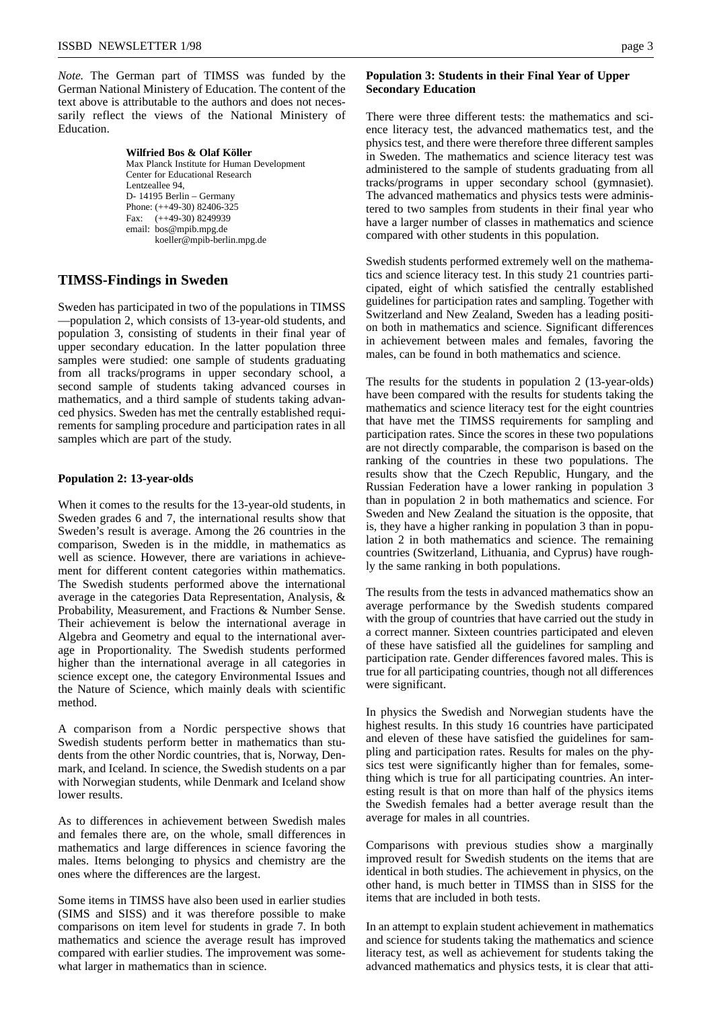*Note.* The German part of TIMSS was funded by the German National Ministery of Education. The content of the text above is attributable to the authors and does not necessarily reflect the views of the National Ministery of Education.

#### **Wilfried Bos & Olaf Köller**

Max Planck Institute for Human Development Center for Educational Research Lentzeallee 94, D- 14195 Berlin – Germany Phone: (++49-30) 82406-325 Fax: (++49-30) 8249939 email: bos@mpib.mpg.de koeller@mpib-berlin.mpg.de

## **TIMSS-Findings in Sweden**

Sweden has participated in two of the populations in TIMSS —population 2, which consists of 13-year-old students, and population 3, consisting of students in their final year of upper secondary education. In the latter population three samples were studied: one sample of students graduating from all tracks/programs in upper secondary school, a second sample of students taking advanced courses in mathematics, and a third sample of students taking advanced physics. Sweden has met the centrally established requirements for sampling procedure and participation rates in all samples which are part of the study.

#### **Population 2: 13-year-olds**

When it comes to the results for the 13-year-old students, in Sweden grades 6 and 7, the international results show that Sweden's result is average. Among the 26 countries in the comparison, Sweden is in the middle, in mathematics as well as science. However, there are variations in achievement for different content categories within mathematics. The Swedish students performed above the international average in the categories Data Representation, Analysis, & Probability, Measurement, and Fractions & Number Sense. Their achievement is below the international average in Algebra and Geometry and equal to the international average in Proportionality. The Swedish students performed higher than the international average in all categories in science except one, the category Environmental Issues and the Nature of Science, which mainly deals with scientific method.

A comparison from a Nordic perspective shows that Swedish students perform better in mathematics than students from the other Nordic countries, that is, Norway, Denmark, and Iceland. In science, the Swedish students on a par with Norwegian students, while Denmark and Iceland show lower results.

As to differences in achievement between Swedish males and females there are, on the whole, small differences in mathematics and large differences in science favoring the males. Items belonging to physics and chemistry are the ones where the differences are the largest.

Some items in TIMSS have also been used in earlier studies (SIMS and SISS) and it was therefore possible to make comparisons on item level for students in grade 7. In both mathematics and science the average result has improved compared with earlier studies. The improvement was somewhat larger in mathematics than in science.

#### **Population 3: Students in their Final Year of Upper Secondary Education**

There were three different tests: the mathematics and science literacy test, the advanced mathematics test, and the physics test, and there were therefore three different samples in Sweden. The mathematics and science literacy test was administered to the sample of students graduating from all tracks/programs in upper secondary school (gymnasiet). The advanced mathematics and physics tests were administered to two samples from students in their final year who have a larger number of classes in mathematics and science compared with other students in this population.

Swedish students performed extremely well on the mathematics and science literacy test. In this study 21 countries participated, eight of which satisfied the centrally established guidelines for participation rates and sampling. Together with Switzerland and New Zealand, Sweden has a leading position both in mathematics and science. Significant differences in achievement between males and females, favoring the males, can be found in both mathematics and science.

The results for the students in population 2 (13-year-olds) have been compared with the results for students taking the mathematics and science literacy test for the eight countries that have met the TIMSS requirements for sampling and participation rates. Since the scores in these two populations are not directly comparable, the comparison is based on the ranking of the countries in these two populations. The results show that the Czech Republic, Hungary, and the Russian Federation have a lower ranking in population 3 than in population 2 in both mathematics and science. For Sweden and New Zealand the situation is the opposite, that is, they have a higher ranking in population 3 than in population 2 in both mathematics and science. The remaining countries (Switzerland, Lithuania, and Cyprus) have roughly the same ranking in both populations.

The results from the tests in advanced mathematics show an average performance by the Swedish students compared with the group of countries that have carried out the study in a correct manner. Sixteen countries participated and eleven of these have satisfied all the guidelines for sampling and participation rate. Gender differences favored males. This is true for all participating countries, though not all differences were significant.

In physics the Swedish and Norwegian students have the highest results. In this study 16 countries have participated and eleven of these have satisfied the guidelines for sampling and participation rates. Results for males on the physics test were significantly higher than for females, something which is true for all participating countries. An interesting result is that on more than half of the physics items the Swedish females had a better average result than the average for males in all countries.

Comparisons with previous studies show a marginally improved result for Swedish students on the items that are identical in both studies. The achievement in physics, on the other hand, is much better in TIMSS than in SISS for the items that are included in both tests.

In an attempt to explain student achievement in mathematics and science for students taking the mathematics and science literacy test, as well as achievement for students taking the advanced mathematics and physics tests, it is clear that atti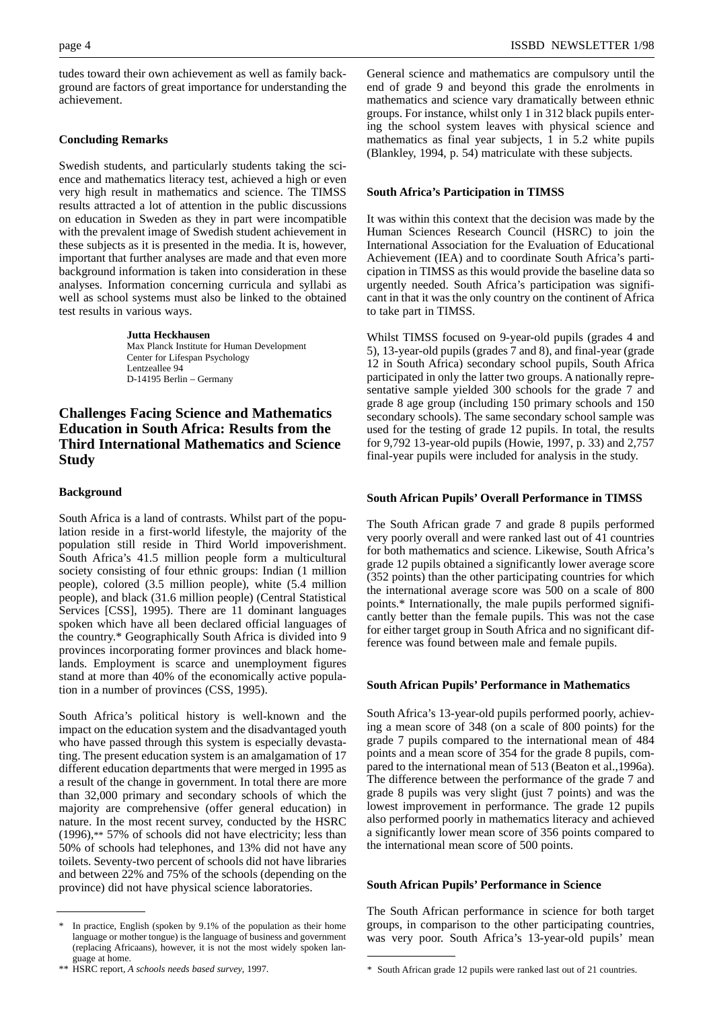tudes toward their own achievement as well as family background are factors of great importance for understanding the achievement.

## **Concluding Remarks**

Swedish students, and particularly students taking the science and mathematics literacy test, achieved a high or even very high result in mathematics and science. The TIMSS results attracted a lot of attention in the public discussions on education in Sweden as they in part were incompatible with the prevalent image of Swedish student achievement in these subjects as it is presented in the media. It is, however, important that further analyses are made and that even more background information is taken into consideration in these analyses. Information concerning curricula and syllabi as well as school systems must also be linked to the obtained test results in various ways.

#### **Jutta Heckhausen**

Max Planck Institute for Human Development Center for Lifespan Psychology Lentzeallee 94 D-14195 Berlin – Germany

# **Challenges Facing Science and Mathematics Education in South Africa: Results from the Third International Mathematics and Science Study**

#### **Background**

South Africa is a land of contrasts. Whilst part of the population reside in a first-world lifestyle, the majority of the population still reside in Third World impoverishment. South Africa's 41.5 million people form a multicultural society consisting of four ethnic groups: Indian (1 million people), colored (3.5 million people), white (5.4 million people), and black (31.6 million people) (Central Statistical Services [CSS], 1995). There are 11 dominant languages spoken which have all been declared official languages of the country.\* Geographically South Africa is divided into 9 provinces incorporating former provinces and black homelands. Employment is scarce and unemployment figures stand at more than 40% of the economically active population in a number of provinces (CSS, 1995).

South Africa's political history is well-known and the impact on the education system and the disadvantaged youth who have passed through this system is especially devastating. The present education system is an amalgamation of 17 different education departments that were merged in 1995 as a result of the change in government. In total there are more than 32,000 primary and secondary schools of which the majority are comprehensive (offer general education) in nature. In the most recent survey, conducted by the HSRC (1996),\*\* 57% of schools did not have electricity; less than 50% of schools had telephones, and 13% did not have any toilets. Seventy-two percent of schools did not have libraries and between 22% and 75% of the schools (depending on the province) did not have physical science laboratories.

General science and mathematics are compulsory until the end of grade 9 and beyond this grade the enrolments in mathematics and science vary dramatically between ethnic groups. For instance, whilst only 1 in 312 black pupils entering the school system leaves with physical science and mathematics as final year subjects, 1 in 5.2 white pupils (Blankley, 1994, p. 54) matriculate with these subjects.

#### **South Africa's Participation in TIMSS**

It was within this context that the decision was made by the Human Sciences Research Council (HSRC) to join the International Association for the Evaluation of Educational Achievement (IEA) and to coordinate South Africa's participation in TIMSS as this would provide the baseline data so urgently needed. South Africa's participation was significant in that it was the only country on the continent of Africa to take part in TIMSS.

Whilst TIMSS focused on 9-year-old pupils (grades 4 and 5), 13-year-old pupils (grades 7 and 8), and final-year (grade 12 in South Africa) secondary school pupils, South Africa participated in only the latter two groups. A nationally representative sample yielded 300 schools for the grade 7 and grade 8 age group (including 150 primary schools and 150 secondary schools). The same secondary school sample was used for the testing of grade 12 pupils. In total, the results for 9,792 13-year-old pupils (Howie, 1997, p. 33) and 2,757 final-year pupils were included for analysis in the study.

#### **South African Pupils' Overall Performance in TIMSS**

The South African grade 7 and grade 8 pupils performed very poorly overall and were ranked last out of 41 countries for both mathematics and science. Likewise, South Africa's grade 12 pupils obtained a significantly lower average score (352 points) than the other participating countries for which the international average score was 500 on a scale of 800 points.\* Internationally, the male pupils performed significantly better than the female pupils. This was not the case for either target group in South Africa and no significant difference was found between male and female pupils.

#### **South African Pupils' Performance in Mathematics**

South Africa's 13-year-old pupils performed poorly, achieving a mean score of 348 (on a scale of 800 points) for the grade 7 pupils compared to the international mean of 484 points and a mean score of 354 for the grade 8 pupils, compared to the international mean of 513 (Beaton et al.,1996a). The difference between the performance of the grade 7 and grade 8 pupils was very slight (just 7 points) and was the lowest improvement in performance. The grade 12 pupils also performed poorly in mathematics literacy and achieved a significantly lower mean score of 356 points compared to the international mean score of 500 points.

#### **South African Pupils' Performance in Science**

The South African performance in science for both target groups, in comparison to the other participating countries, was very poor. South Africa's 13-year-old pupils' mean

In practice, English (spoken by  $9.1\%$  of the population as their home language or mother tongue) is the language of business and government (replacing Africaans), however, it is not the most widely spoken language at home.<br>HSRC report, A schools needs based survey, 1997.

<sup>\*\*</sup> HSRC report, *A schools needs based survey*, 1997. \*\* South African grade 12 pupils were ranked last out of 21 countries.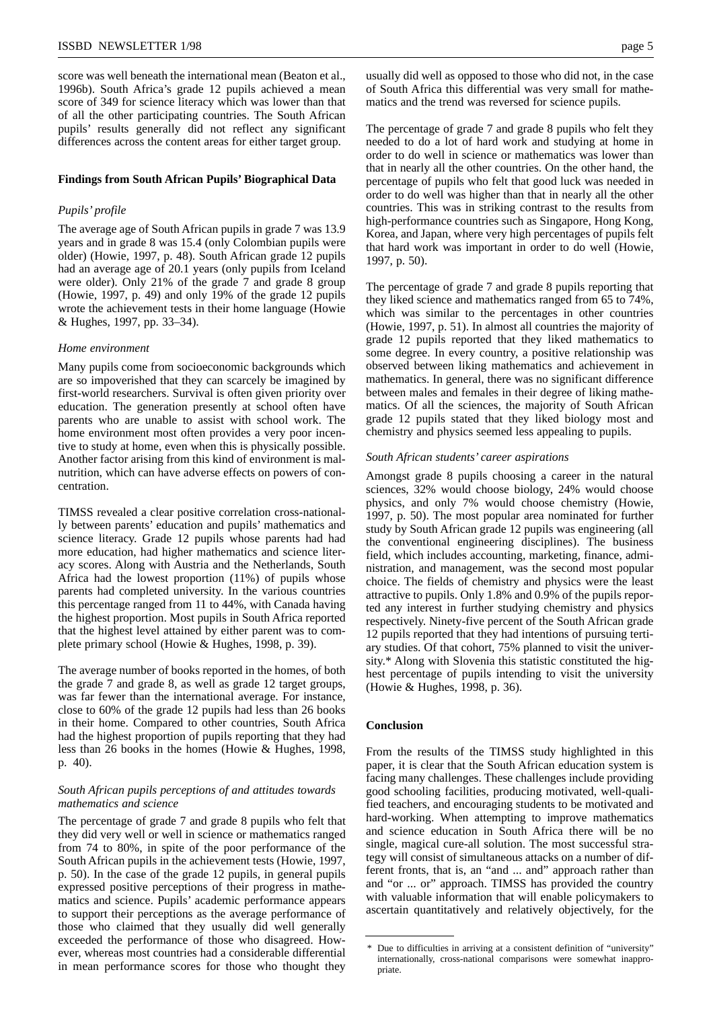score was well beneath the international mean (Beaton et al., 1996b). South Africa's grade 12 pupils achieved a mean score of 349 for science literacy which was lower than that of all the other participating countries. The South African pupils' results generally did not reflect any significant differences across the content areas for either target group.

#### **Findings from South African Pupils' Biographical Data**

#### *Pupils' profile*

The average age of South African pupils in grade 7 was 13.9 years and in grade 8 was 15.4 (only Colombian pupils were older) (Howie, 1997, p. 48). South African grade 12 pupils had an average age of 20.1 years (only pupils from Iceland were older). Only 21% of the grade 7 and grade 8 group (Howie, 1997, p. 49) and only 19% of the grade 12 pupils wrote the achievement tests in their home language (Howie & Hughes, 1997, pp. 33–34).

#### *Home environment*

Many pupils come from socioeconomic backgrounds which are so impoverished that they can scarcely be imagined by first-world researchers. Survival is often given priority over education. The generation presently at school often have parents who are unable to assist with school work. The home environment most often provides a very poor incentive to study at home, even when this is physically possible. Another factor arising from this kind of environment is malnutrition, which can have adverse effects on powers of concentration.

TIMSS revealed a clear positive correlation cross-nationally between parents' education and pupils' mathematics and science literacy. Grade 12 pupils whose parents had had more education, had higher mathematics and science literacy scores. Along with Austria and the Netherlands, South Africa had the lowest proportion (11%) of pupils whose parents had completed university. In the various countries this percentage ranged from 11 to 44%, with Canada having the highest proportion. Most pupils in South Africa reported that the highest level attained by either parent was to complete primary school (Howie & Hughes, 1998, p. 39).

The average number of books reported in the homes, of both the grade 7 and grade 8, as well as grade 12 target groups, was far fewer than the international average. For instance, close to 60% of the grade 12 pupils had less than 26 books in their home. Compared to other countries, South Africa had the highest proportion of pupils reporting that they had less than 26 books in the homes (Howie & Hughes, 1998, p. 40).

#### *South African pupils perceptions of and attitudes towards mathematics and science*

The percentage of grade 7 and grade 8 pupils who felt that they did very well or well in science or mathematics ranged from 74 to 80%, in spite of the poor performance of the South African pupils in the achievement tests (Howie, 1997, p. 50). In the case of the grade 12 pupils, in general pupils expressed positive perceptions of their progress in mathematics and science. Pupils' academic performance appears to support their perceptions as the average performance of those who claimed that they usually did well generally exceeded the performance of those who disagreed. However, whereas most countries had a considerable differential in mean performance scores for those who thought they

usually did well as opposed to those who did not, in the case of South Africa this differential was very small for mathematics and the trend was reversed for science pupils.

The percentage of grade 7 and grade 8 pupils who felt they needed to do a lot of hard work and studying at home in order to do well in science or mathematics was lower than that in nearly all the other countries. On the other hand, the percentage of pupils who felt that good luck was needed in order to do well was higher than that in nearly all the other countries. This was in striking contrast to the results from high-performance countries such as Singapore, Hong Kong, Korea, and Japan, where very high percentages of pupils felt that hard work was important in order to do well (Howie, 1997, p. 50).

The percentage of grade 7 and grade 8 pupils reporting that they liked science and mathematics ranged from 65 to 74%, which was similar to the percentages in other countries (Howie, 1997, p. 51). In almost all countries the majority of grade 12 pupils reported that they liked mathematics to some degree. In every country, a positive relationship was observed between liking mathematics and achievement in mathematics. In general, there was no significant difference between males and females in their degree of liking mathematics. Of all the sciences, the majority of South African grade 12 pupils stated that they liked biology most and chemistry and physics seemed less appealing to pupils.

#### *South African students' career aspirations*

Amongst grade 8 pupils choosing a career in the natural sciences, 32% would choose biology, 24% would choose physics, and only 7% would choose chemistry (Howie, 1997, p. 50). The most popular area nominated for further study by South African grade 12 pupils was engineering (all the conventional engineering disciplines). The business field, which includes accounting, marketing, finance, administration, and management, was the second most popular choice. The fields of chemistry and physics were the least attractive to pupils. Only 1.8% and 0.9% of the pupils reported any interest in further studying chemistry and physics respectively. Ninety-five percent of the South African grade 12 pupils reported that they had intentions of pursuing tertiary studies. Of that cohort, 75% planned to visit the university.\* Along with Slovenia this statistic constituted the highest percentage of pupils intending to visit the university (Howie & Hughes, 1998, p. 36).

#### **Conclusion**

From the results of the TIMSS study highlighted in this paper, it is clear that the South African education system is facing many challenges. These challenges include providing good schooling facilities, producing motivated, well-qualified teachers, and encouraging students to be motivated and hard-working. When attempting to improve mathematics and science education in South Africa there will be no single, magical cure-all solution. The most successful strategy will consist of simultaneous attacks on a number of different fronts, that is, an "and ... and" approach rather than and "or ... or" approach. TIMSS has provided the country with valuable information that will enable policymakers to ascertain quantitatively and relatively objectively, for the

Due to difficulties in arriving at a consistent definition of "university" internationally, cross-national comparisons were somewhat inappropriate.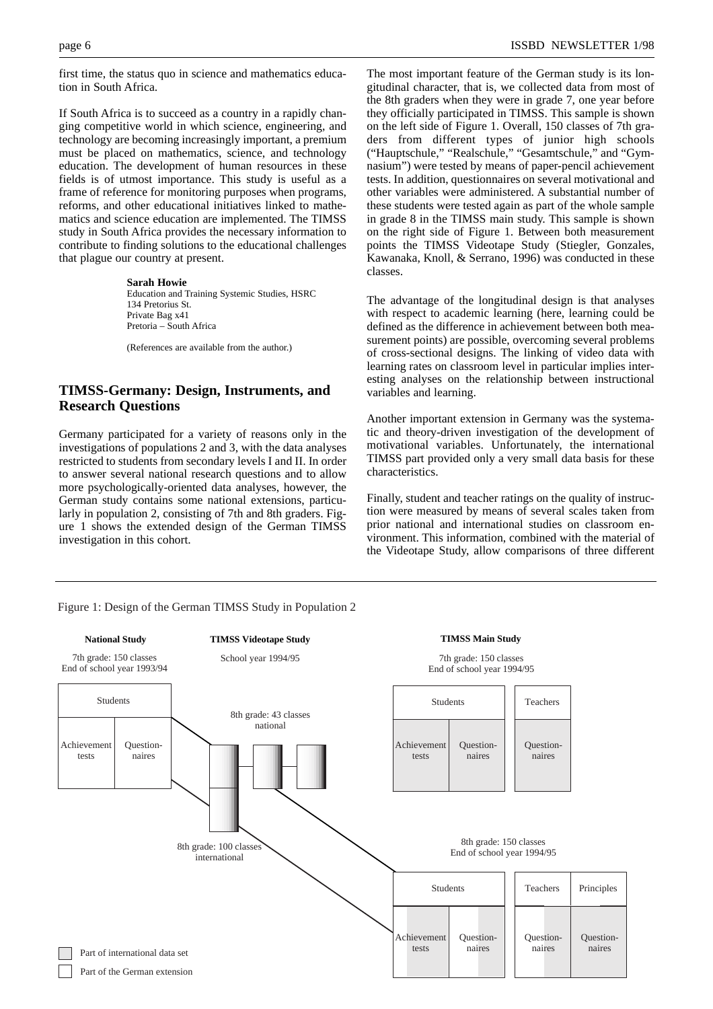first time, the status quo in science and mathematics education in South Africa.

If South Africa is to succeed as a country in a rapidly changing competitive world in which science, engineering, and technology are becoming increasingly important, a premium must be placed on mathematics, science, and technology education. The development of human resources in these fields is of utmost importance. This study is useful as a frame of reference for monitoring purposes when programs, reforms, and other educational initiatives linked to mathematics and science education are implemented. The TIMSS study in South Africa provides the necessary information to contribute to finding solutions to the educational challenges that plague our country at present.

#### **Sarah Howie**

Education and Training Systemic Studies, HSRC 134 Pretorius St. Private Bag x41 Pretoria – South Africa

(References are available from the author.)

# **TIMSS-Germany: Design, Instruments, and Research Questions**

Germany participated for a variety of reasons only in the investigations of populations 2 and 3, with the data analyses restricted to students from secondary levels I and II. In order to answer several national research questions and to allow more psychologically-oriented data analyses, however, the German study contains some national extensions, particularly in population 2, consisting of 7th and 8th graders. Figure 1 shows the extended design of the German TIMSS investigation in this cohort.

The most important feature of the German study is its longitudinal character, that is, we collected data from most of the 8th graders when they were in grade 7, one year before they officially participated in TIMSS. This sample is shown on the left side of Figure 1. Overall, 150 classes of 7th graders from different types of junior high schools ("Hauptschule," "Realschule," "Gesamtschule," and "Gymnasium") were tested by means of paper-pencil achievement tests. In addition, questionnaires on several motivational and other variables were administered. A substantial number of these students were tested again as part of the whole sample in grade 8 in the TIMSS main study. This sample is shown on the right side of Figure 1. Between both measurement points the TIMSS Videotape Study (Stiegler, Gonzales, Kawanaka, Knoll, & Serrano, 1996) was conducted in these classes.

The advantage of the longitudinal design is that analyses with respect to academic learning (here, learning could be defined as the difference in achievement between both measurement points) are possible, overcoming several problems of cross-sectional designs. The linking of video data with learning rates on classroom level in particular implies interesting analyses on the relationship between instructional variables and learning.

Another important extension in Germany was the systematic and theory-driven investigation of the development of motivational variables. Unfortunately, the international TIMSS part provided only a very small data basis for these characteristics.

Finally, student and teacher ratings on the quality of instruction were measured by means of several scales taken from prior national and international studies on classroom environment. This information, combined with the material of the Videotape Study, allow comparisons of three different



Figure 1: Design of the German TIMSS Study in Population 2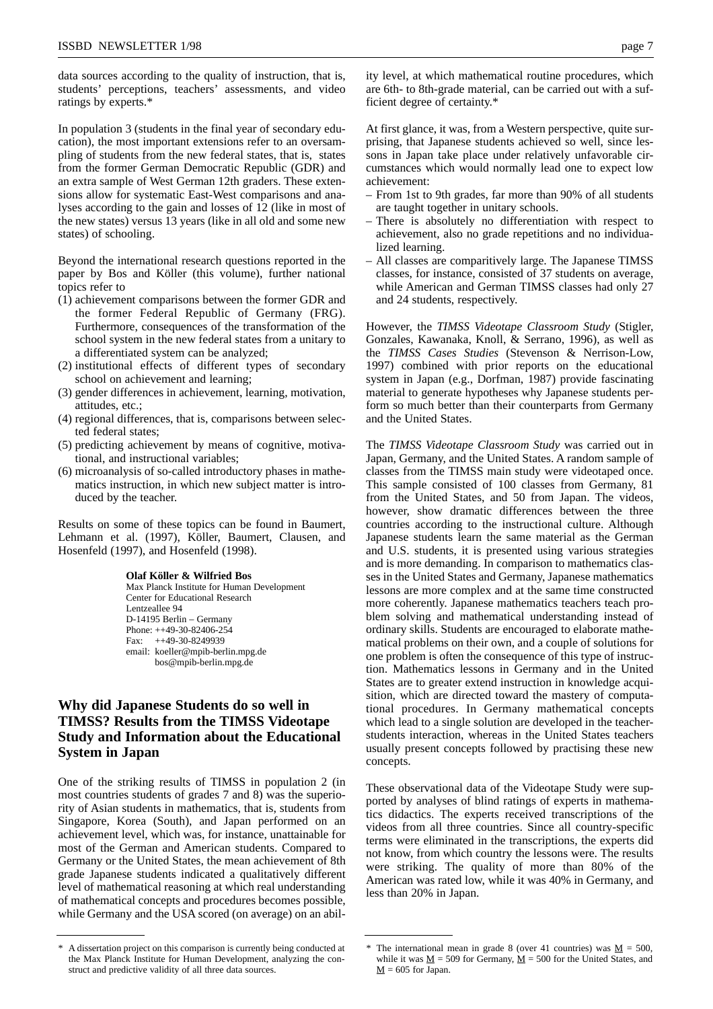data sources according to the quality of instruction, that is, students' perceptions, teachers' assessments, and video ratings by experts.\*

In population 3 (students in the final year of secondary education), the most important extensions refer to an oversampling of students from the new federal states, that is, states from the former German Democratic Republic (GDR) and an extra sample of West German 12th graders. These extensions allow for systematic East-West comparisons and analyses according to the gain and losses of 12 (like in most of the new states) versus 13 years (like in all old and some new states) of schooling.

Beyond the international research questions reported in the paper by Bos and Köller (this volume), further national topics refer to

- (1) achievement comparisons between the former GDR and the former Federal Republic of Germany (FRG). Furthermore, consequences of the transformation of the school system in the new federal states from a unitary to a differentiated system can be analyzed;
- (2) institutional effects of different types of secondary school on achievement and learning;
- (3) gender differences in achievement, learning, motivation, attitudes, etc.;
- (4) regional differences, that is, comparisons between selected federal states;
- (5) predicting achievement by means of cognitive, motivational, and instructional variables;
- (6) microanalysis of so-called introductory phases in mathematics instruction, in which new subject matter is introduced by the teacher.

Results on some of these topics can be found in Baumert, Lehmann et al. (1997), Köller, Baumert, Clausen, and Hosenfeld (1997), and Hosenfeld (1998).

#### **Olaf Köller & Wilfried Bos**

Max Planck Institute for Human Development Center for Educational Research Lentzeallee 94 D-14195 Berlin – Germany Phone: ++49-30-82406-254 Fax: ++49-30-8249939 email: koeller@mpib-berlin.mpg.de bos@mpib-berlin.mpg.de

# **Why did Japanese Students do so well in TIMSS? Results from the TIMSS Videotape Study and Information about the Educational System in Japan**

One of the striking results of TIMSS in population 2 (in most countries students of grades 7 and 8) was the superiority of Asian students in mathematics, that is, students from Singapore, Korea (South), and Japan performed on an achievement level, which was, for instance, unattainable for most of the German and American students. Compared to Germany or the United States, the mean achievement of 8th grade Japanese students indicated a qualitatively different level of mathematical reasoning at which real understanding of mathematical concepts and procedures becomes possible, while Germany and the USA scored (on average) on an abilAt first glance, it was, from a Western perspective, quite surprising, that Japanese students achieved so well, since lessons in Japan take place under relatively unfavorable circumstances which would normally lead one to expect low achievement:

- From 1st to 9th grades, far more than 90% of all students are taught together in unitary schools.
- There is absolutely no differentiation with respect to achievement, also no grade repetitions and no individualized learning.
- All classes are comparitively large. The Japanese TIMSS classes, for instance, consisted of 37 students on average, while American and German TIMSS classes had only 27 and 24 students, respectively.

However, the *TIMSS Videotape Classroom Study* (Stigler, Gonzales, Kawanaka, Knoll, & Serrano, 1996), as well as the *TIMSS Cases Studies* (Stevenson & Nerrison-Low, 1997) combined with prior reports on the educational system in Japan (e.g., Dorfman, 1987) provide fascinating material to generate hypotheses why Japanese students perform so much better than their counterparts from Germany and the United States.

The *TIMSS Videotape Classroom Study* was carried out in Japan, Germany, and the United States. A random sample of classes from the TIMSS main study were videotaped once. This sample consisted of 100 classes from Germany, 81 from the United States, and 50 from Japan. The videos, however, show dramatic differences between the three countries according to the instructional culture. Although Japanese students learn the same material as the German and U.S. students, it is presented using various strategies and is more demanding. In comparison to mathematics classes in the United States and Germany, Japanese mathematics lessons are more complex and at the same time constructed more coherently. Japanese mathematics teachers teach problem solving and mathematical understanding instead of ordinary skills. Students are encouraged to elaborate mathematical problems on their own, and a couple of solutions for one problem is often the consequence of this type of instruction. Mathematics lessons in Germany and in the United States are to greater extend instruction in knowledge acquisition, which are directed toward the mastery of computational procedures. In Germany mathematical concepts which lead to a single solution are developed in the teacherstudents interaction, whereas in the United States teachers usually present concepts followed by practising these new concepts.

These observational data of the Videotape Study were supported by analyses of blind ratings of experts in mathematics didactics. The experts received transcriptions of the videos from all three countries. Since all country-specific terms were eliminated in the transcriptions, the experts did not know, from which country the lessons were. The results were striking. The quality of more than 80% of the American was rated low, while it was 40% in Germany, and less than 20% in Japan.

A dissertation project on this comparison is currently being conducted at the Max Planck Institute for Human Development, analyzing the construct and predictive validity of all three data sources.

The international mean in grade 8 (over 41 countries) was  $M = 500$ , while it was  $M = 509$  for Germany,  $M = 500$  for the United States, and  $M = 605$  for Japan.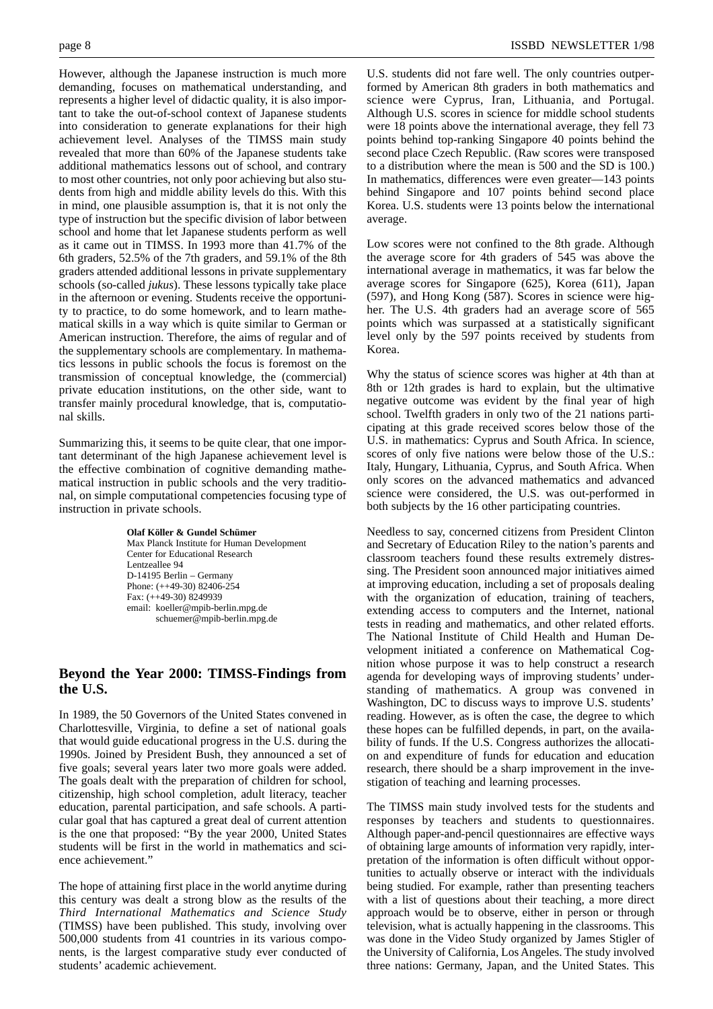However, although the Japanese instruction is much more demanding, focuses on mathematical understanding, and represents a higher level of didactic quality, it is also important to take the out-of-school context of Japanese students into consideration to generate explanations for their high achievement level. Analyses of the TIMSS main study revealed that more than 60% of the Japanese students take additional mathematics lessons out of school, and contrary to most other countries, not only poor achieving but also students from high and middle ability levels do this. With this in mind, one plausible assumption is, that it is not only the type of instruction but the specific division of labor between school and home that let Japanese students perform as well as it came out in TIMSS. In 1993 more than 41.7% of the 6th graders, 52.5% of the 7th graders, and 59.1% of the 8th graders attended additional lessons in private supplementary schools (so-called *jukus*). These lessons typically take place in the afternoon or evening. Students receive the opportunity to practice, to do some homework, and to learn mathematical skills in a way which is quite similar to German or American instruction. Therefore, the aims of regular and of the supplementary schools are complementary. In mathematics lessons in public schools the focus is foremost on the transmission of conceptual knowledge, the (commercial) private education institutions, on the other side, want to transfer mainly procedural knowledge, that is, computational skills.

Summarizing this, it seems to be quite clear, that one important determinant of the high Japanese achievement level is the effective combination of cognitive demanding mathematical instruction in public schools and the very traditional, on simple computational competencies focusing type of instruction in private schools.

> **Olaf Köller & Gundel Schümer** Max Planck Institute for Human Development Center for Educational Research Lentzeallee 94 D-14195 Berlin – Germany Phone: (++49-30) 82406-254 Fax: (++49-30) 8249939 email: koeller@mpib-berlin.mpg.de schuemer@mpib-berlin.mpg.de

## **Beyond the Year 2000: TIMSS-Findings from the U.S.**

In 1989, the 50 Governors of the United States convened in Charlottesville, Virginia, to define a set of national goals that would guide educational progress in the U.S. during the 1990s. Joined by President Bush, they announced a set of five goals; several years later two more goals were added. The goals dealt with the preparation of children for school, citizenship, high school completion, adult literacy, teacher education, parental participation, and safe schools. A particular goal that has captured a great deal of current attention is the one that proposed: "By the year 2000, United States students will be first in the world in mathematics and science achievement."

The hope of attaining first place in the world anytime during this century was dealt a strong blow as the results of the *Third International Mathematics and Science Study* (TIMSS) have been published. This study, involving over 500,000 students from 41 countries in its various components, is the largest comparative study ever conducted of students' academic achievement.

U.S. students did not fare well. The only countries outperformed by American 8th graders in both mathematics and science were Cyprus, Iran, Lithuania, and Portugal. Although U.S. scores in science for middle school students were 18 points above the international average, they fell 73 points behind top-ranking Singapore 40 points behind the second place Czech Republic. (Raw scores were transposed to a distribution where the mean is 500 and the SD is 100.) In mathematics, differences were even greater—143 points behind Singapore and 107 points behind second place Korea. U.S. students were 13 points below the international average.

Low scores were not confined to the 8th grade. Although the average score for 4th graders of 545 was above the international average in mathematics, it was far below the average scores for Singapore (625), Korea (611), Japan (597), and Hong Kong (587). Scores in science were higher. The U.S. 4th graders had an average score of 565 points which was surpassed at a statistically significant level only by the 597 points received by students from Korea.

Why the status of science scores was higher at 4th than at 8th or 12th grades is hard to explain, but the ultimative negative outcome was evident by the final year of high school. Twelfth graders in only two of the 21 nations participating at this grade received scores below those of the U.S. in mathematics: Cyprus and South Africa. In science, scores of only five nations were below those of the U.S.: Italy, Hungary, Lithuania, Cyprus, and South Africa. When only scores on the advanced mathematics and advanced science were considered, the U.S. was out-performed in both subjects by the 16 other participating countries.

Needless to say, concerned citizens from President Clinton and Secretary of Education Riley to the nation's parents and classroom teachers found these results extremely distressing. The President soon announced major initiatives aimed at improving education, including a set of proposals dealing with the organization of education, training of teachers, extending access to computers and the Internet, national tests in reading and mathematics, and other related efforts. The National Institute of Child Health and Human Development initiated a conference on Mathematical Cognition whose purpose it was to help construct a research agenda for developing ways of improving students' understanding of mathematics. A group was convened in Washington, DC to discuss ways to improve U.S. students' reading. However, as is often the case, the degree to which these hopes can be fulfilled depends, in part, on the availability of funds. If the U.S. Congress authorizes the allocation and expenditure of funds for education and education research, there should be a sharp improvement in the investigation of teaching and learning processes.

The TIMSS main study involved tests for the students and responses by teachers and students to questionnaires. Although paper-and-pencil questionnaires are effective ways of obtaining large amounts of information very rapidly, interpretation of the information is often difficult without opportunities to actually observe or interact with the individuals being studied. For example, rather than presenting teachers with a list of questions about their teaching, a more direct approach would be to observe, either in person or through television, what is actually happening in the classrooms. This was done in the Video Study organized by James Stigler of the University of California, Los Angeles. The study involved three nations: Germany, Japan, and the United States. This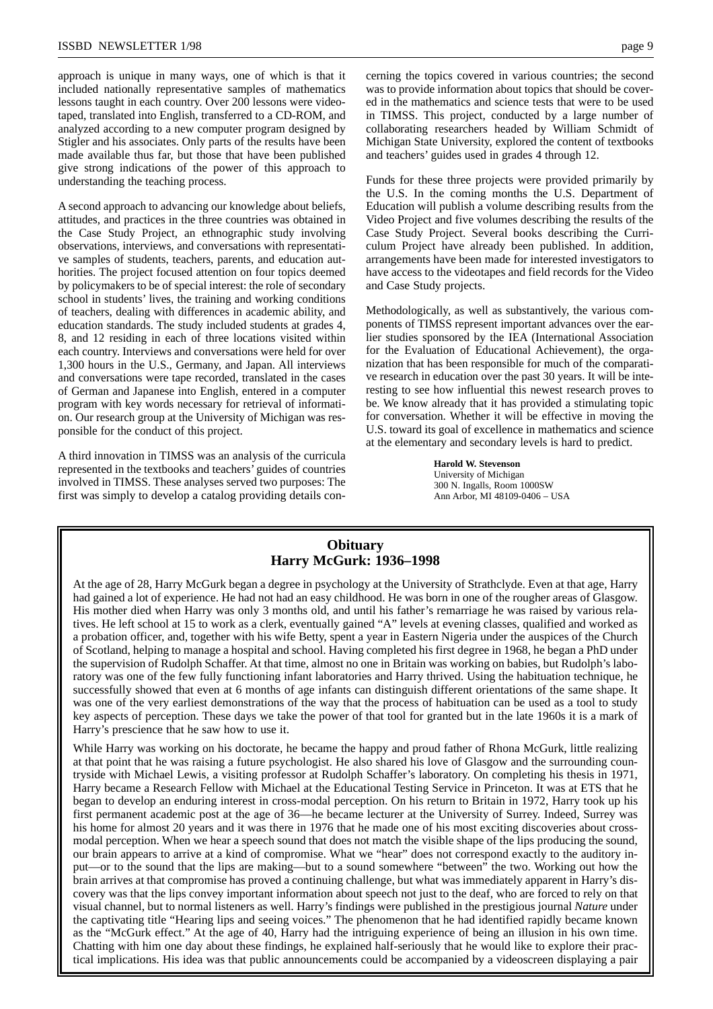approach is unique in many ways, one of which is that it included nationally representative samples of mathematics lessons taught in each country. Over 200 lessons were videotaped, translated into English, transferred to a CD-ROM, and analyzed according to a new computer program designed by Stigler and his associates. Only parts of the results have been made available thus far, but those that have been published give strong indications of the power of this approach to understanding the teaching process.

A second approach to advancing our knowledge about beliefs, attitudes, and practices in the three countries was obtained in the Case Study Project, an ethnographic study involving observations, interviews, and conversations with representative samples of students, teachers, parents, and education authorities. The project focused attention on four topics deemed by policymakers to be of special interest: the role of secondary school in students' lives, the training and working conditions of teachers, dealing with differences in academic ability, and education standards. The study included students at grades 4, 8, and 12 residing in each of three locations visited within each country. Interviews and conversations were held for over 1,300 hours in the U.S., Germany, and Japan. All interviews and conversations were tape recorded, translated in the cases of German and Japanese into English, entered in a computer program with key words necessary for retrieval of information. Our research group at the University of Michigan was responsible for the conduct of this project.

A third innovation in TIMSS was an analysis of the curricula represented in the textbooks and teachers' guides of countries involved in TIMSS. These analyses served two purposes: The first was simply to develop a catalog providing details concerning the topics covered in various countries; the second was to provide information about topics that should be covered in the mathematics and science tests that were to be used in TIMSS. This project, conducted by a large number of collaborating researchers headed by William Schmidt of Michigan State University, explored the content of textbooks and teachers' guides used in grades 4 through 12.

Funds for these three projects were provided primarily by the U.S. In the coming months the U.S. Department of Education will publish a volume describing results from the Video Project and five volumes describing the results of the Case Study Project. Several books describing the Curriculum Project have already been published. In addition, arrangements have been made for interested investigators to have access to the videotapes and field records for the Video and Case Study projects.

Methodologically, as well as substantively, the various components of TIMSS represent important advances over the earlier studies sponsored by the IEA (International Association for the Evaluation of Educational Achievement), the organization that has been responsible for much of the comparative research in education over the past 30 years. It will be interesting to see how influential this newest research proves to be. We know already that it has provided a stimulating topic for conversation. Whether it will be effective in moving the U.S. toward its goal of excellence in mathematics and science at the elementary and secondary levels is hard to predict.

> **Harold W. Stevenson** University of Michigan 300 N. Ingalls, Room 1000SW Ann Arbor, MI 48109-0406 – USA

# **Obituary Harry McGurk: 1936–1998**

At the age of 28, Harry McGurk began a degree in psychology at the University of Strathclyde. Even at that age, Harry had gained a lot of experience. He had not had an easy childhood. He was born in one of the rougher areas of Glasgow. His mother died when Harry was only 3 months old, and until his father's remarriage he was raised by various relatives. He left school at 15 to work as a clerk, eventually gained "A" levels at evening classes, qualified and worked as a probation officer, and, together with his wife Betty, spent a year in Eastern Nigeria under the auspices of the Church of Scotland, helping to manage a hospital and school. Having completed his first degree in 1968, he began a PhD under the supervision of Rudolph Schaffer. At that time, almost no one in Britain was working on babies, but Rudolph's laboratory was one of the few fully functioning infant laboratories and Harry thrived. Using the habituation technique, he successfully showed that even at 6 months of age infants can distinguish different orientations of the same shape. It was one of the very earliest demonstrations of the way that the process of habituation can be used as a tool to study key aspects of perception. These days we take the power of that tool for granted but in the late 1960s it is a mark of Harry's prescience that he saw how to use it.

While Harry was working on his doctorate, he became the happy and proud father of Rhona McGurk, little realizing at that point that he was raising a future psychologist. He also shared his love of Glasgow and the surrounding countryside with Michael Lewis, a visiting professor at Rudolph Schaffer's laboratory. On completing his thesis in 1971, Harry became a Research Fellow with Michael at the Educational Testing Service in Princeton. It was at ETS that he began to develop an enduring interest in cross-modal perception. On his return to Britain in 1972, Harry took up his first permanent academic post at the age of 36—he became lecturer at the University of Surrey. Indeed, Surrey was his home for almost 20 years and it was there in 1976 that he made one of his most exciting discoveries about crossmodal perception. When we hear a speech sound that does not match the visible shape of the lips producing the sound, our brain appears to arrive at a kind of compromise. What we "hear" does not correspond exactly to the auditory input—or to the sound that the lips are making—but to a sound somewhere "between" the two. Working out how the brain arrives at that compromise has proved a continuing challenge, but what was immediately apparent in Harry's discovery was that the lips convey important information about speech not just to the deaf, who are forced to rely on that visual channel, but to normal listeners as well. Harry's findings were published in the prestigious journal *Nature* under the captivating title "Hearing lips and seeing voices." The phenomenon that he had identified rapidly became known as the "McGurk effect." At the age of 40, Harry had the intriguing experience of being an illusion in his own time. Chatting with him one day about these findings, he explained half-seriously that he would like to explore their practical implications. His idea was that public announcements could be accompanied by a videoscreen displaying a pair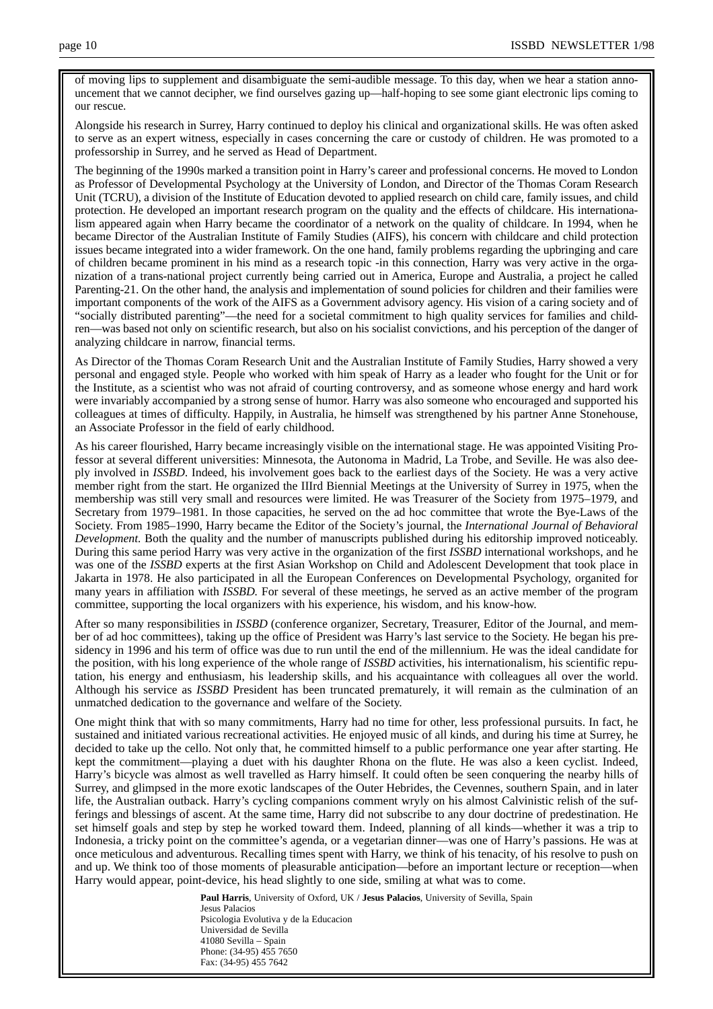of moving lips to supplement and disambiguate the semi-audible message. To this day, when we hear a station announcement that we cannot decipher, we find ourselves gazing up—half-hoping to see some giant electronic lips coming to our rescue.

Alongside his research in Surrey, Harry continued to deploy his clinical and organizational skills. He was often asked to serve as an expert witness, especially in cases concerning the care or custody of children. He was promoted to a professorship in Surrey, and he served as Head of Department.

The beginning of the 1990s marked a transition point in Harry's career and professional concerns. He moved to London as Professor of Developmental Psychology at the University of London, and Director of the Thomas Coram Research Unit (TCRU), a division of the Institute of Education devoted to applied research on child care, family issues, and child protection. He developed an important research program on the quality and the effects of childcare. His internationalism appeared again when Harry became the coordinator of a network on the quality of childcare. In 1994, when he became Director of the Australian Institute of Family Studies (AIFS), his concern with childcare and child protection issues became integrated into a wider framework. On the one hand, family problems regarding the upbringing and care of children became prominent in his mind as a research topic -in this connection, Harry was very active in the organization of a trans-national project currently being carried out in America, Europe and Australia, a project he called Parenting-21. On the other hand, the analysis and implementation of sound policies for children and their families were important components of the work of the AIFS as a Government advisory agency. His vision of a caring society and of "socially distributed parenting"—the need for a societal commitment to high quality services for families and children—was based not only on scientific research, but also on his socialist convictions, and his perception of the danger of analyzing childcare in narrow, financial terms.

As Director of the Thomas Coram Research Unit and the Australian Institute of Family Studies, Harry showed a very personal and engaged style. People who worked with him speak of Harry as a leader who fought for the Unit or for the Institute, as a scientist who was not afraid of courting controversy, and as someone whose energy and hard work were invariably accompanied by a strong sense of humor. Harry was also someone who encouraged and supported his colleagues at times of difficulty. Happily, in Australia, he himself was strengthened by his partner Anne Stonehouse, an Associate Professor in the field of early childhood.

As his career flourished, Harry became increasingly visible on the international stage. He was appointed Visiting Professor at several different universities: Minnesota, the Autonoma in Madrid, La Trobe, and Seville. He was also deeply involved in *ISSBD*. Indeed, his involvement goes back to the earliest days of the Society. He was a very active member right from the start. He organized the IIIrd Biennial Meetings at the University of Surrey in 1975, when the membership was still very small and resources were limited. He was Treasurer of the Society from 1975–1979, and Secretary from 1979–1981. In those capacities, he served on the ad hoc committee that wrote the Bye-Laws of the Society. From 1985–1990, Harry became the Editor of the Society's journal, the *International Journal of Behavioral Development.* Both the quality and the number of manuscripts published during his editorship improved noticeably. During this same period Harry was very active in the organization of the first *ISSBD* international workshops, and he was one of the *ISSBD* experts at the first Asian Workshop on Child and Adolescent Development that took place in Jakarta in 1978. He also participated in all the European Conferences on Developmental Psychology, organited for many years in affiliation with *ISSBD.* For several of these meetings, he served as an active member of the program committee, supporting the local organizers with his experience, his wisdom, and his know-how.

After so many responsibilities in *ISSBD* (conference organizer, Secretary, Treasurer, Editor of the Journal, and member of ad hoc committees), taking up the office of President was Harry's last service to the Society. He began his presidency in 1996 and his term of office was due to run until the end of the millennium. He was the ideal candidate for the position, with his long experience of the whole range of *ISSBD* activities, his internationalism, his scientific reputation, his energy and enthusiasm, his leadership skills, and his acquaintance with colleagues all over the world. Although his service as *ISSBD* President has been truncated prematurely, it will remain as the culmination of an unmatched dedication to the governance and welfare of the Society.

One might think that with so many commitments, Harry had no time for other, less professional pursuits. In fact, he sustained and initiated various recreational activities. He enjoyed music of all kinds, and during his time at Surrey, he decided to take up the cello. Not only that, he committed himself to a public performance one year after starting. He kept the commitment—playing a duet with his daughter Rhona on the flute. He was also a keen cyclist. Indeed, Harry's bicycle was almost as well travelled as Harry himself. It could often be seen conquering the nearby hills of Surrey, and glimpsed in the more exotic landscapes of the Outer Hebrides, the Cevennes, southern Spain, and in later life, the Australian outback. Harry's cycling companions comment wryly on his almost Calvinistic relish of the sufferings and blessings of ascent. At the same time, Harry did not subscribe to any dour doctrine of predestination. He set himself goals and step by step he worked toward them. Indeed, planning of all kinds—whether it was a trip to Indonesia, a tricky point on the committee's agenda, or a vegetarian dinner—was one of Harry's passions. He was at once meticulous and adventurous. Recalling times spent with Harry, we think of his tenacity, of his resolve to push on and up. We think too of those moments of pleasurable anticipation—before an important lecture or reception—when Harry would appear, point-device, his head slightly to one side, smiling at what was to come.

> **Paul Harris**, University of Oxford, UK / **Jesus Palacios**, University of Sevilla, Spain Jesus Palacios Psicologia Evolutiva y de la Educacion Universidad de Sevilla 41080 Sevilla – Spain Phone: (34-95) 455 7650 Fax: (34-95) 455 7642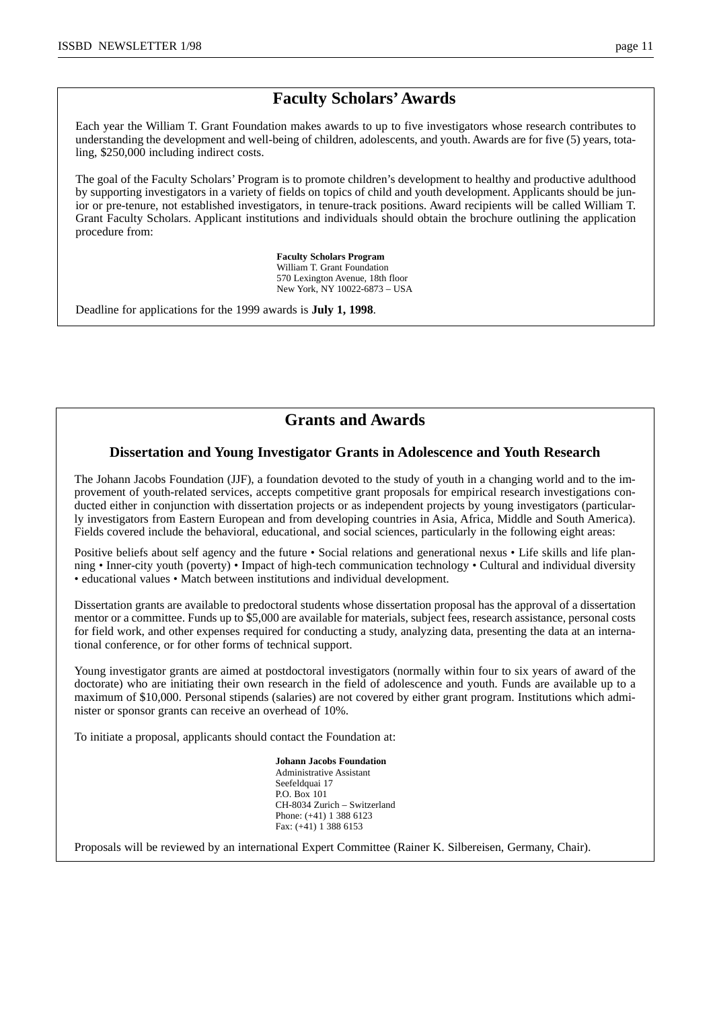# **Faculty Scholars'Awards**

Each year the William T. Grant Foundation makes awards to up to five investigators whose research contributes to understanding the development and well-being of children, adolescents, and youth. Awards are for five (5) years, totaling, \$250,000 including indirect costs.

The goal of the Faculty Scholars' Program is to promote children's development to healthy and productive adulthood by supporting investigators in a variety of fields on topics of child and youth development. Applicants should be junior or pre-tenure, not established investigators, in tenure-track positions. Award recipients will be called William T. Grant Faculty Scholars. Applicant institutions and individuals should obtain the brochure outlining the application procedure from:

> **Faculty Scholars Program** William T. Grant Foundation 570 Lexington Avenue, 18th floor New York, NY 10022-6873 – USA

Deadline for applications for the 1999 awards is **July 1, 1998**.

# **Grants and Awards**

# **Dissertation and Young Investigator Grants in Adolescence and Youth Research**

The Johann Jacobs Foundation (JJF), a foundation devoted to the study of youth in a changing world and to the improvement of youth-related services, accepts competitive grant proposals for empirical research investigations conducted either in conjunction with dissertation projects or as independent projects by young investigators (particularly investigators from Eastern European and from developing countries in Asia, Africa, Middle and South America). Fields covered include the behavioral, educational, and social sciences, particularly in the following eight areas:

Positive beliefs about self agency and the future • Social relations and generational nexus • Life skills and life planning • Inner-city youth (poverty) • Impact of high-tech communication technology • Cultural and individual diversity • educational values • Match between institutions and individual development.

Dissertation grants are available to predoctoral students whose dissertation proposal has the approval of a dissertation mentor or a committee. Funds up to \$5,000 are available for materials, subject fees, research assistance, personal costs for field work, and other expenses required for conducting a study, analyzing data, presenting the data at an international conference, or for other forms of technical support.

Young investigator grants are aimed at postdoctoral investigators (normally within four to six years of award of the doctorate) who are initiating their own research in the field of adolescence and youth. Funds are available up to a maximum of \$10,000. Personal stipends (salaries) are not covered by either grant program. Institutions which administer or sponsor grants can receive an overhead of 10%.

To initiate a proposal, applicants should contact the Foundation at:

**Johann Jacobs Foundation** Administrative Assistant Seefeldquai 17 P.O. Box 101 CH-8034 Zurich – Switzerland Phone: (+41) 1 388 6123 Fax: (+41) 1 388 6153

Proposals will be reviewed by an international Expert Committee (Rainer K. Silbereisen, Germany, Chair).